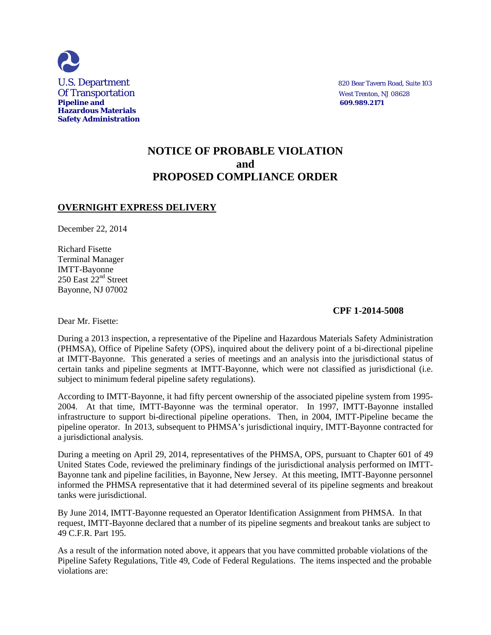

# **NOTICE OF PROBABLE VIOLATION and PROPOSED COMPLIANCE ORDER**

## **OVERNIGHT EXPRESS DELIVERY**

December 22, 2014

Richard Fisette Terminal Manager IMTT-Bayonne 250 East 22<sup>nd</sup> Street Bayonne, NJ 07002

#### **CPF 1-2014-5008**

Dear Mr. Fisette:

During a 2013 inspection, a representative of the Pipeline and Hazardous Materials Safety Administration (PHMSA), Office of Pipeline Safety (OPS), inquired about the delivery point of a bi-directional pipeline at IMTT-Bayonne. This generated a series of meetings and an analysis into the jurisdictional status of certain tanks and pipeline segments at IMTT-Bayonne, which were not classified as jurisdictional (i.e. subject to minimum federal pipeline safety regulations).

According to IMTT-Bayonne, it had fifty percent ownership of the associated pipeline system from 1995- 2004. At that time, IMTT-Bayonne was the terminal operator. In 1997, IMTT-Bayonne installed infrastructure to support bi-directional pipeline operations. Then, in 2004, IMTT-Pipeline became the pipeline operator. In 2013, subsequent to PHMSA's jurisdictional inquiry, IMTT-Bayonne contracted for a jurisdictional analysis.

During a meeting on April 29, 2014, representatives of the PHMSA, OPS, pursuant to Chapter 601 of 49 United States Code, reviewed the preliminary findings of the jurisdictional analysis performed on IMTT-Bayonne tank and pipeline facilities, in Bayonne, New Jersey. At this meeting, IMTT-Bayonne personnel informed the PHMSA representative that it had determined several of its pipeline segments and breakout tanks were jurisdictional.

By June 2014, IMTT-Bayonne requested an Operator Identification Assignment from PHMSA. In that request, IMTT-Bayonne declared that a number of its pipeline segments and breakout tanks are subject to 49 C.F.R. Part 195.

As a result of the information noted above, it appears that you have committed probable violations of the Pipeline Safety Regulations, Title 49, Code of Federal Regulations. The items inspected and the probable violations are: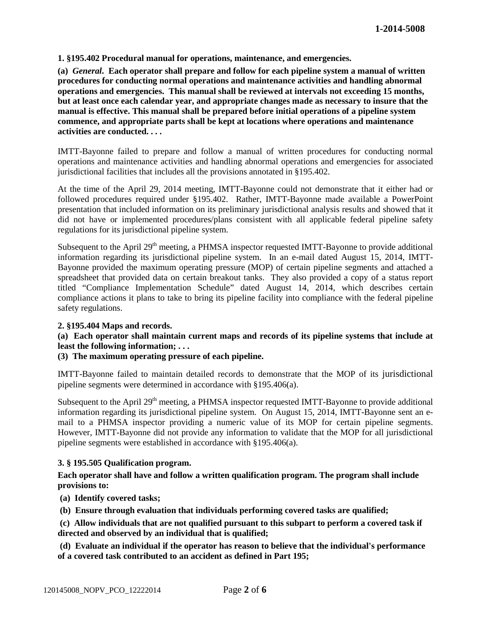### **1. §195.402 Procedural manual for operations, maintenance, and emergencies.**

**(a)** *General***. Each operator shall prepare and follow for each pipeline system a manual of written procedures for conducting normal operations and maintenance activities and handling abnormal operations and emergencies. This manual shall be reviewed at intervals not exceeding 15 months, but at least once each calendar year, and appropriate changes made as necessary to insure that the manual is effective. This manual shall be prepared before initial operations of a pipeline system commence, and appropriate parts shall be kept at locations where operations and maintenance activities are conducted. . . .** 

IMTT-Bayonne failed to prepare and follow a manual of written procedures for conducting normal operations and maintenance activities and handling abnormal operations and emergencies for associated jurisdictional facilities that includes all the provisions annotated in §195.402.

At the time of the April 29, 2014 meeting, IMTT-Bayonne could not demonstrate that it either had or followed procedures required under §195.402. Rather, IMTT-Bayonne made available a PowerPoint presentation that included information on its preliminary jurisdictional analysis results and showed that it did not have or implemented procedures/plans consistent with all applicable federal pipeline safety regulations for its jurisdictional pipeline system.

Subsequent to the April 29<sup>th</sup> meeting, a PHMSA inspector requested IMTT-Bayonne to provide additional information regarding its jurisdictional pipeline system. In an e-mail dated August 15, 2014, IMTT-Bayonne provided the maximum operating pressure (MOP) of certain pipeline segments and attached a spreadsheet that provided data on certain breakout tanks. They also provided a copy of a status report titled "Compliance Implementation Schedule" dated August 14, 2014, which describes certain compliance actions it plans to take to bring its pipeline facility into compliance with the federal pipeline safety regulations.

### **2. §195.404 Maps and records.**

#### **(a) Each operator shall maintain current maps and records of its pipeline systems that include at least the following information; . . .**

#### **(3) The maximum operating pressure of each pipeline.**

IMTT-Bayonne failed to maintain detailed records to demonstrate that the MOP of its jurisdictional pipeline segments were determined in accordance with §195.406(a).

Subsequent to the April 29<sup>th</sup> meeting, a PHMSA inspector requested IMTT-Bayonne to provide additional information regarding its jurisdictional pipeline system. On August 15, 2014, IMTT-Bayonne sent an email to a PHMSA inspector providing a numeric value of its MOP for certain pipeline segments. However, IMTT-Bayonne did not provide any information to validate that the MOP for all jurisdictional pipeline segments were established in accordance with §195.406(a).

#### **3. § 195.505 Qualification program.**

#### **Each operator shall have and follow a written qualification program. The program shall include provisions to:**

**(a) Identify covered tasks;** 

**(b) Ensure through evaluation that individuals performing covered tasks are qualified;** 

**(c) Allow individuals that are not qualified pursuant to this subpart to perform a covered task if directed and observed by an individual that is qualified;** 

**(d) Evaluate an individual if the operator has reason to believe that the individual's performance of a covered task contributed to an accident as defined in Part 195;**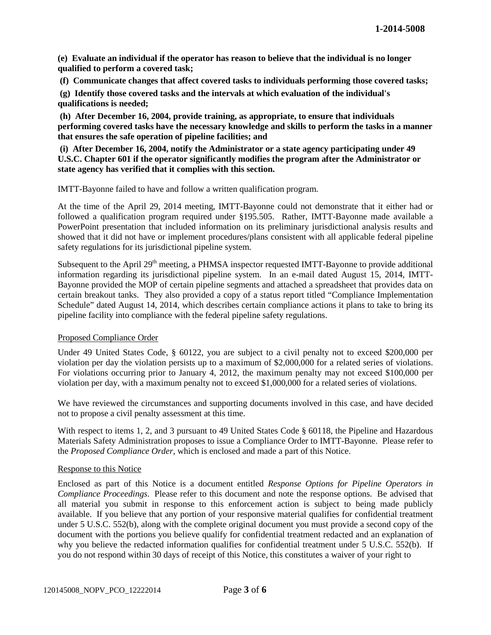**(e) Evaluate an individual if the operator has reason to believe that the individual is no longer qualified to perform a covered task;** 

**(f) Communicate changes that affect covered tasks to individuals performing those covered tasks;** 

**(g) Identify those covered tasks and the intervals at which evaluation of the individual's qualifications is needed;** 

**(h) After December 16, 2004, provide training, as appropriate, to ensure that individuals performing covered tasks have the necessary knowledge and skills to perform the tasks in a manner that ensures the safe operation of pipeline facilities; and** 

**(i) After December 16, 2004, notify the Administrator or a state agency participating under 49 U.S.C. Chapter 601 if the operator significantly modifies the program after the Administrator or state agency has verified that it complies with this section.** 

IMTT-Bayonne failed to have and follow a written qualification program.

At the time of the April 29, 2014 meeting, IMTT-Bayonne could not demonstrate that it either had or followed a qualification program required under §195.505. Rather, IMTT-Bayonne made available a PowerPoint presentation that included information on its preliminary jurisdictional analysis results and showed that it did not have or implement procedures/plans consistent with all applicable federal pipeline safety regulations for its jurisdictional pipeline system.

Subsequent to the April 29<sup>th</sup> meeting, a PHMSA inspector requested IMTT-Bayonne to provide additional information regarding its jurisdictional pipeline system. In an e-mail dated August 15, 2014, IMTT-Bayonne provided the MOP of certain pipeline segments and attached a spreadsheet that provides data on certain breakout tanks. They also provided a copy of a status report titled "Compliance Implementation Schedule" dated August 14, 2014, which describes certain compliance actions it plans to take to bring its pipeline facility into compliance with the federal pipeline safety regulations.

#### Proposed Compliance Order

Under 49 United States Code, § 60122, you are subject to a civil penalty not to exceed \$200,000 per violation per day the violation persists up to a maximum of \$2,000,000 for a related series of violations. For violations occurring prior to January 4, 2012, the maximum penalty may not exceed \$100,000 per violation per day, with a maximum penalty not to exceed \$1,000,000 for a related series of violations.

We have reviewed the circumstances and supporting documents involved in this case, and have decided not to propose a civil penalty assessment at this time.

With respect to items 1, 2, and 3 pursuant to 49 United States Code § 60118, the Pipeline and Hazardous Materials Safety Administration proposes to issue a Compliance Order to IMTT-Bayonne. Please refer to the *Proposed Compliance Order*, which is enclosed and made a part of this Notice.

#### Response to this Notice

Enclosed as part of this Notice is a document entitled *Response Options for Pipeline Operators in Compliance Proceedings*. Please refer to this document and note the response options. Be advised that all material you submit in response to this enforcement action is subject to being made publicly available. If you believe that any portion of your responsive material qualifies for confidential treatment under 5 U.S.C. 552(b), along with the complete original document you must provide a second copy of the document with the portions you believe qualify for confidential treatment redacted and an explanation of why you believe the redacted information qualifies for confidential treatment under 5 U.S.C. 552(b). If you do not respond within 30 days of receipt of this Notice, this constitutes a waiver of your right to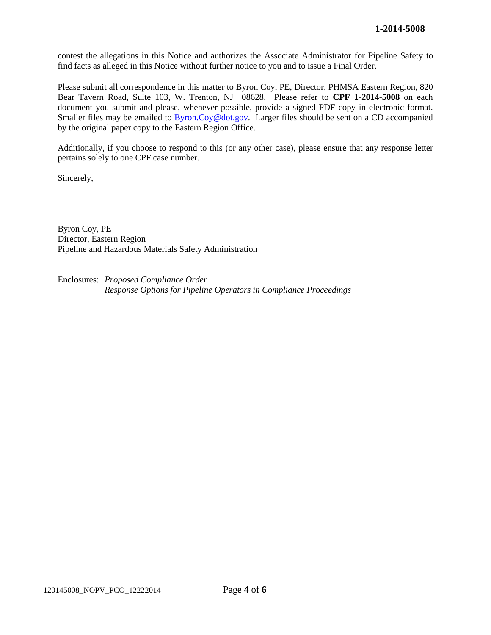contest the allegations in this Notice and authorizes the Associate Administrator for Pipeline Safety to find facts as alleged in this Notice without further notice to you and to issue a Final Order.

Please submit all correspondence in this matter to Byron Coy, PE, Director, PHMSA Eastern Region, 820 Bear Tavern Road, Suite 103, W. Trenton, NJ 08628. Please refer to **CPF 1-2014-5008** on each document you submit and please, whenever possible, provide a signed PDF copy in electronic format. Smaller files may be emailed to **Byron.Coy@dot.gov.** Larger files should be sent on a CD accompanied by the original paper copy to the Eastern Region Office.

Additionally, if you choose to respond to this (or any other case), please ensure that any response letter pertains solely to one CPF case number.

Sincerely,

Byron Coy, PE Director, Eastern Region Pipeline and Hazardous Materials Safety Administration

Enclosures: *Proposed Compliance Order Response Options for Pipeline Operators in Compliance Proceedings*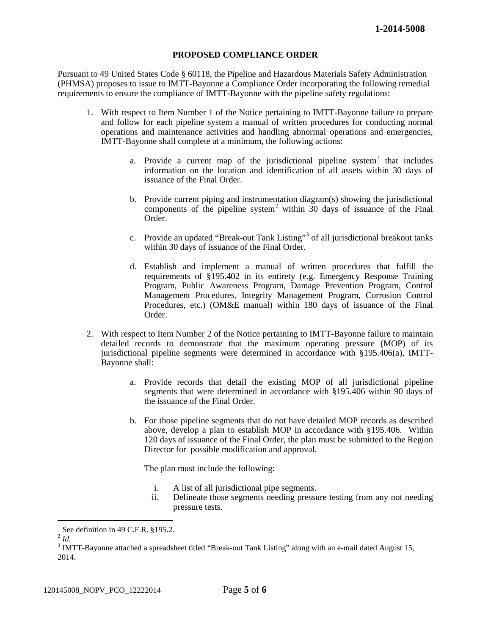### **PROPOSED COMPLIANCE ORDER**

Pursuant to 49 United States Code § 60118, the Pipeline and Hazardous Materials Safety Administration (PHMSA) proposes to issue to IMTT-Bayonne a Compliance Order incorporating the following remedial requirements to ensure the compliance of IMTT-Bayonne with the pipeline safety regulations:

- 1. With respect to Item Number 1 of the Notice pertaining to IMTT-Bayonne failure to prepare and follow for each pipeline system a manual of written procedures for conducting normal operations and maintenance activities and handling abnormal operations and emergencies, IMTT-Bayonne shall complete at a minimum, the following actions:
	- a. Provide a current map of the jurisdictional pipeline system<sup>1</sup> that includes information on the location and identification of all assets within 30 days of issuance of the Final Order.
	- b. Provide current piping and instrumentation diagram(s) showing the jurisdictional components of the pipeline system<sup>2</sup> within 30 days of issuance of the Final Order.
	- c. Provide an updated "Break-out Tank Listing"<sup>3</sup> of all jurisdictional breakout tanks within 30 days of issuance of the Final Order.
	- d. Establish and implement a manual of written procedures that fulfill the requirements of §195.402 in its entirety (e.g. Emergency Response Training Program, Public Awareness Program, Damage Prevention Program, Control Management Procedures, Integrity Management Program, Corrosion Control Procedures, etc.) (OM&E manual) within 180 days of issuance of the Final Order.
- 2. With respect to Item Number 2 of the Notice pertaining to IMTT-Bayonne failure to maintain detailed records to demonstrate that the maximum operating pressure (MOP) of its jurisdictional pipeline segments were determined in accordance with §195.406(a), IMTT-Bayonne shall:
	- a. Provide records that detail the existing MOP of all jurisdictional pipeline segments that were determined in accordance with §195.406 within 90 days of the issuance of the Final Order.
	- b. For those pipeline segments that do not have detailed MOP records as described above, develop a plan to establish MOP in accordance with §195.406. Within 120 days of issuance of the Final Order, the plan must be submitted to the Region Director for possible modification and approval.

The plan must include the following:

- i. A list of all jurisdictional pipe segments.
- ii. Delineate those segments needing pressure testing from any not needing pressure tests.

 $\overline{a}$ 

<sup>&</sup>lt;sup>1</sup> See definition in 49 C.F.R. §195.2.<br><sup>2</sup> *Id.* 

 $\frac{2}{3}$ Id.<br> $\frac{3}{3}$  IMTT-Bayonne attached a spreadsheet titled "Break-out Tank Listing" along with an e-mail dated August 15, 2014.